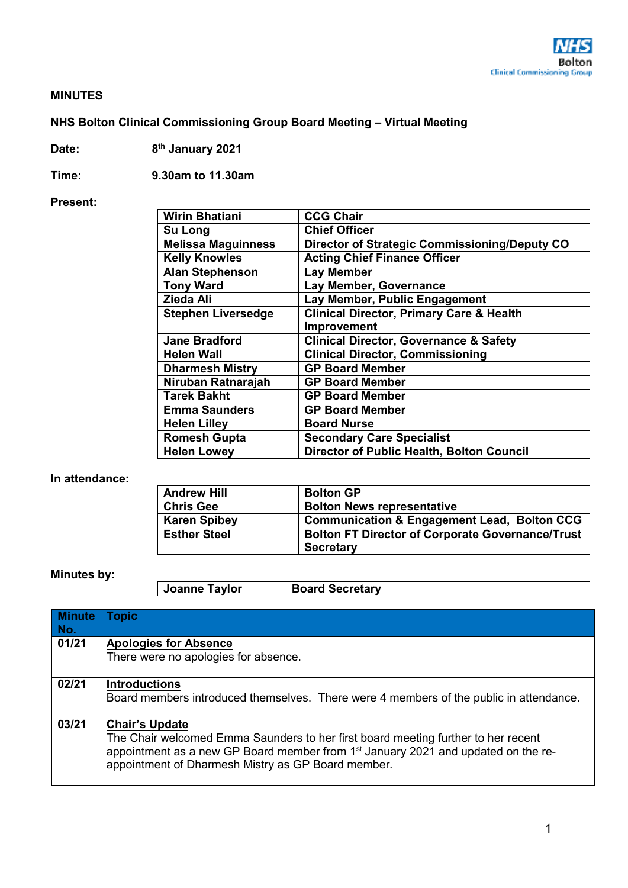

### **MINUTES**

# **NHS Bolton Clinical Commissioning Group Board Meeting – Virtual Meeting**

**Date: 8th January 2021** 

**Time: 9.30am to 11.30am** 

#### **Present:**

| <b>Wirin Bhatiani</b>     | <b>CCG Chair</b>                                    |
|---------------------------|-----------------------------------------------------|
| <b>Su Long</b>            | <b>Chief Officer</b>                                |
| <b>Melissa Maguinness</b> | Director of Strategic Commissioning/Deputy CO       |
| <b>Kelly Knowles</b>      | <b>Acting Chief Finance Officer</b>                 |
| <b>Alan Stephenson</b>    | <b>Lay Member</b>                                   |
| <b>Tony Ward</b>          | Lay Member, Governance                              |
| Zieda Ali                 | Lay Member, Public Engagement                       |
| <b>Stephen Liversedge</b> | <b>Clinical Director, Primary Care &amp; Health</b> |
|                           | Improvement                                         |
| <b>Jane Bradford</b>      | <b>Clinical Director, Governance &amp; Safety</b>   |
| <b>Helen Wall</b>         | <b>Clinical Director, Commissioning</b>             |
| <b>Dharmesh Mistry</b>    | <b>GP Board Member</b>                              |
| Niruban Ratnarajah        | <b>GP Board Member</b>                              |
| Tarek Bakht               | <b>GP Board Member</b>                              |
| <b>Emma Saunders</b>      | <b>GP Board Member</b>                              |
| <b>Helen Lilley</b>       | <b>Board Nurse</b>                                  |
| <b>Romesh Gupta</b>       | <b>Secondary Care Specialist</b>                    |
| <b>Helen Lowey</b>        | <b>Director of Public Health, Bolton Council</b>    |

### **In attendance:**

| <b>Andrew Hill</b>  | <b>Bolton GP</b>                                                            |
|---------------------|-----------------------------------------------------------------------------|
| <b>Chris Gee</b>    | <b>Bolton News representative</b>                                           |
| <b>Karen Spibey</b> | <b>Communication &amp; Engagement Lead, Bolton CCG</b>                      |
| <b>Esther Steel</b> | <b>Bolton FT Director of Corporate Governance/Trust</b><br><b>Secretary</b> |

## **Minutes by:**

| Joanne Taylor | <b>Board Secretary</b> |
|---------------|------------------------|
|---------------|------------------------|

| <b>Minute</b><br>No. | <b>Topic</b>                                                                                                                                                                                                                                                      |
|----------------------|-------------------------------------------------------------------------------------------------------------------------------------------------------------------------------------------------------------------------------------------------------------------|
| 01/21                | <b>Apologies for Absence</b><br>There were no apologies for absence.                                                                                                                                                                                              |
| 02/21                | <b>Introductions</b><br>Board members introduced themselves. There were 4 members of the public in attendance.                                                                                                                                                    |
| 03/21                | <b>Chair's Update</b><br>The Chair welcomed Emma Saunders to her first board meeting further to her recent<br>appointment as a new GP Board member from 1 <sup>st</sup> January 2021 and updated on the re-<br>appointment of Dharmesh Mistry as GP Board member. |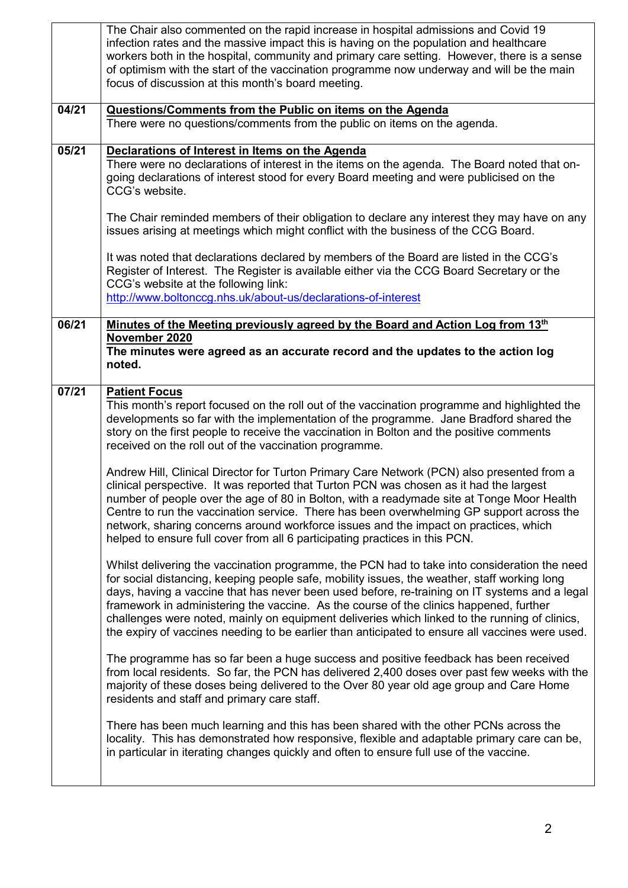|       | The Chair also commented on the rapid increase in hospital admissions and Covid 19<br>infection rates and the massive impact this is having on the population and healthcare<br>workers both in the hospital, community and primary care setting. However, there is a sense<br>of optimism with the start of the vaccination programme now underway and will be the main<br>focus of discussion at this month's board meeting.                                                                                                                                                              |
|-------|---------------------------------------------------------------------------------------------------------------------------------------------------------------------------------------------------------------------------------------------------------------------------------------------------------------------------------------------------------------------------------------------------------------------------------------------------------------------------------------------------------------------------------------------------------------------------------------------|
| 04/21 | Questions/Comments from the Public on items on the Agenda<br>There were no questions/comments from the public on items on the agenda.                                                                                                                                                                                                                                                                                                                                                                                                                                                       |
| 05/21 | Declarations of Interest in Items on the Agenda<br>There were no declarations of interest in the items on the agenda. The Board noted that on-<br>going declarations of interest stood for every Board meeting and were publicised on the<br>CCG's website.                                                                                                                                                                                                                                                                                                                                 |
|       | The Chair reminded members of their obligation to declare any interest they may have on any<br>issues arising at meetings which might conflict with the business of the CCG Board.                                                                                                                                                                                                                                                                                                                                                                                                          |
|       | It was noted that declarations declared by members of the Board are listed in the CCG's<br>Register of Interest. The Register is available either via the CCG Board Secretary or the<br>CCG's website at the following link:                                                                                                                                                                                                                                                                                                                                                                |
|       | http://www.boltonccg.nhs.uk/about-us/declarations-of-interest                                                                                                                                                                                                                                                                                                                                                                                                                                                                                                                               |
| 06/21 | Minutes of the Meeting previously agreed by the Board and Action Log from 13th<br>November 2020<br>The minutes were agreed as an accurate record and the updates to the action log<br>noted.                                                                                                                                                                                                                                                                                                                                                                                                |
| 07/21 | <b>Patient Focus</b><br>This month's report focused on the roll out of the vaccination programme and highlighted the<br>developments so far with the implementation of the programme. Jane Bradford shared the<br>story on the first people to receive the vaccination in Bolton and the positive comments<br>received on the roll out of the vaccination programme.                                                                                                                                                                                                                        |
|       | Andrew Hill, Clinical Director for Turton Primary Care Network (PCN) also presented from a<br>clinical perspective. It was reported that Turton PCN was chosen as it had the largest<br>number of people over the age of 80 in Bolton, with a readymade site at Tonge Moor Health<br>Centre to run the vaccination service. There has been overwhelming GP support across the<br>network, sharing concerns around workforce issues and the impact on practices, which<br>helped to ensure full cover from all 6 participating practices in this PCN.                                        |
|       | Whilst delivering the vaccination programme, the PCN had to take into consideration the need<br>for social distancing, keeping people safe, mobility issues, the weather, staff working long<br>days, having a vaccine that has never been used before, re-training on IT systems and a legal<br>framework in administering the vaccine. As the course of the clinics happened, further<br>challenges were noted, mainly on equipment deliveries which linked to the running of clinics,<br>the expiry of vaccines needing to be earlier than anticipated to ensure all vaccines were used. |
|       | The programme has so far been a huge success and positive feedback has been received<br>from local residents. So far, the PCN has delivered 2,400 doses over past few weeks with the<br>majority of these doses being delivered to the Over 80 year old age group and Care Home<br>residents and staff and primary care staff.                                                                                                                                                                                                                                                              |
|       | There has been much learning and this has been shared with the other PCNs across the<br>locality. This has demonstrated how responsive, flexible and adaptable primary care can be,<br>in particular in iterating changes quickly and often to ensure full use of the vaccine.                                                                                                                                                                                                                                                                                                              |
|       |                                                                                                                                                                                                                                                                                                                                                                                                                                                                                                                                                                                             |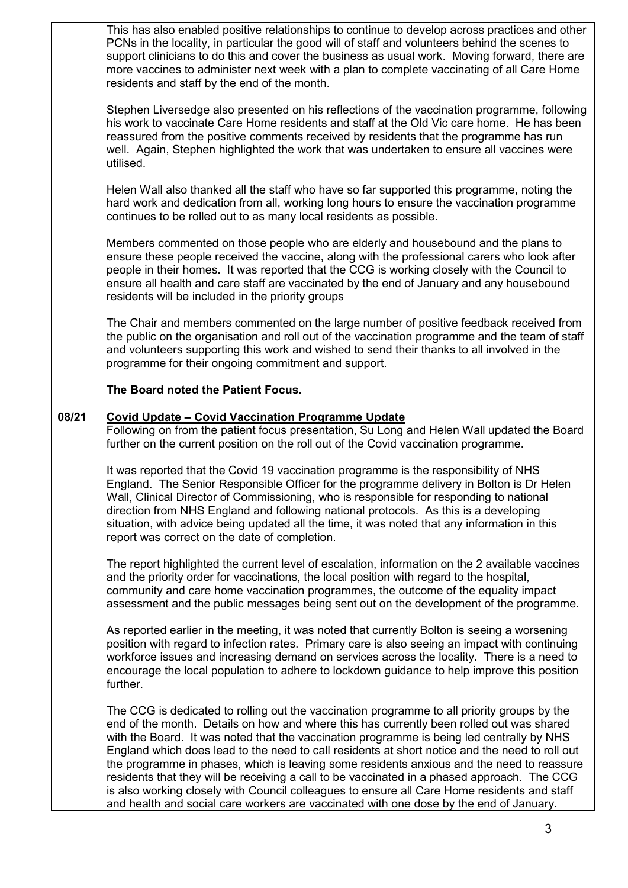|       | This has also enabled positive relationships to continue to develop across practices and other<br>PCNs in the locality, in particular the good will of staff and volunteers behind the scenes to<br>support clinicians to do this and cover the business as usual work. Moving forward, there are<br>more vaccines to administer next week with a plan to complete vaccinating of all Care Home<br>residents and staff by the end of the month.                                                                      |
|-------|----------------------------------------------------------------------------------------------------------------------------------------------------------------------------------------------------------------------------------------------------------------------------------------------------------------------------------------------------------------------------------------------------------------------------------------------------------------------------------------------------------------------|
|       | Stephen Liversedge also presented on his reflections of the vaccination programme, following<br>his work to vaccinate Care Home residents and staff at the Old Vic care home. He has been<br>reassured from the positive comments received by residents that the programme has run<br>well. Again, Stephen highlighted the work that was undertaken to ensure all vaccines were<br>utilised.                                                                                                                         |
|       | Helen Wall also thanked all the staff who have so far supported this programme, noting the<br>hard work and dedication from all, working long hours to ensure the vaccination programme<br>continues to be rolled out to as many local residents as possible.                                                                                                                                                                                                                                                        |
|       | Members commented on those people who are elderly and housebound and the plans to<br>ensure these people received the vaccine, along with the professional carers who look after<br>people in their homes. It was reported that the CCG is working closely with the Council to<br>ensure all health and care staff are vaccinated by the end of January and any housebound<br>residents will be included in the priority groups                                                                                      |
|       | The Chair and members commented on the large number of positive feedback received from<br>the public on the organisation and roll out of the vaccination programme and the team of staff<br>and volunteers supporting this work and wished to send their thanks to all involved in the<br>programme for their ongoing commitment and support.                                                                                                                                                                        |
|       | The Board noted the Patient Focus.                                                                                                                                                                                                                                                                                                                                                                                                                                                                                   |
| 08/21 | <b>Covid Update - Covid Vaccination Programme Update</b><br>Following on from the patient focus presentation, Su Long and Helen Wall updated the Board<br>further on the current position on the roll out of the Covid vaccination programme.                                                                                                                                                                                                                                                                        |
|       | It was reported that the Covid 19 vaccination programme is the responsibility of NHS<br>England. The Senior Responsible Officer for the programme delivery in Bolton is Dr Helen<br>Wall, Clinical Director of Commissioning, who is responsible for responding to national<br>direction from NHS England and following national protocols. As this is a developing<br>situation, with advice being updated all the time, it was noted that any information in this<br>report was correct on the date of completion. |
|       | The report highlighted the current level of escalation, information on the 2 available vaccines<br>and the priority order for vaccinations, the local position with regard to the hospital,<br>community and care home vaccination programmes, the outcome of the equality impact<br>assessment and the public messages being sent out on the development of the programme.                                                                                                                                          |
|       | As reported earlier in the meeting, it was noted that currently Bolton is seeing a worsening<br>position with regard to infection rates. Primary care is also seeing an impact with continuing<br>workforce issues and increasing demand on services across the locality. There is a need to<br>encourage the local population to adhere to lockdown guidance to help improve this position<br>further.                                                                                                              |
|       | The CCG is dedicated to rolling out the vaccination programme to all priority groups by the<br>end of the month. Details on how and where this has currently been rolled out was shared<br>with the Board. It was noted that the vaccination programme is being led centrally by NHS<br>England which does lead to the need to call residents at short notice and the need to roll out<br>the programme in phases, which is leaving some residents anxious and the need to reassure                                  |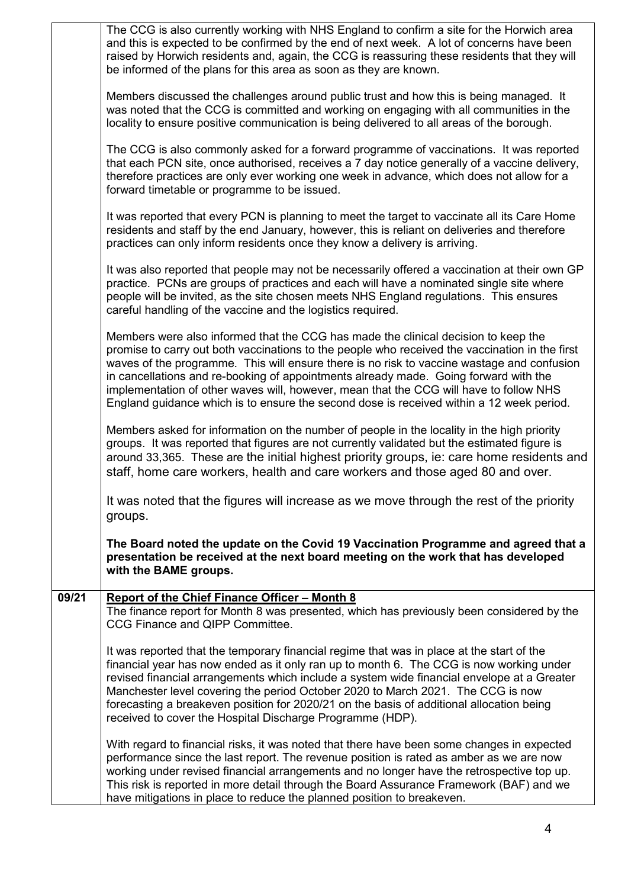|       | The CCG is also currently working with NHS England to confirm a site for the Horwich area<br>and this is expected to be confirmed by the end of next week. A lot of concerns have been<br>raised by Horwich residents and, again, the CCG is reassuring these residents that they will<br>be informed of the plans for this area as soon as they are known.                                                                                                                                                                                                      |
|-------|------------------------------------------------------------------------------------------------------------------------------------------------------------------------------------------------------------------------------------------------------------------------------------------------------------------------------------------------------------------------------------------------------------------------------------------------------------------------------------------------------------------------------------------------------------------|
|       | Members discussed the challenges around public trust and how this is being managed. It<br>was noted that the CCG is committed and working on engaging with all communities in the<br>locality to ensure positive communication is being delivered to all areas of the borough.                                                                                                                                                                                                                                                                                   |
|       | The CCG is also commonly asked for a forward programme of vaccinations. It was reported<br>that each PCN site, once authorised, receives a 7 day notice generally of a vaccine delivery,<br>therefore practices are only ever working one week in advance, which does not allow for a<br>forward timetable or programme to be issued.                                                                                                                                                                                                                            |
|       | It was reported that every PCN is planning to meet the target to vaccinate all its Care Home<br>residents and staff by the end January, however, this is reliant on deliveries and therefore<br>practices can only inform residents once they know a delivery is arriving.                                                                                                                                                                                                                                                                                       |
|       | It was also reported that people may not be necessarily offered a vaccination at their own GP<br>practice. PCNs are groups of practices and each will have a nominated single site where<br>people will be invited, as the site chosen meets NHS England regulations. This ensures<br>careful handling of the vaccine and the logistics required.                                                                                                                                                                                                                |
|       | Members were also informed that the CCG has made the clinical decision to keep the<br>promise to carry out both vaccinations to the people who received the vaccination in the first<br>waves of the programme. This will ensure there is no risk to vaccine wastage and confusion<br>in cancellations and re-booking of appointments already made. Going forward with the<br>implementation of other waves will, however, mean that the CCG will have to follow NHS<br>England guidance which is to ensure the second dose is received within a 12 week period. |
|       | Members asked for information on the number of people in the locality in the high priority<br>groups. It was reported that figures are not currently validated but the estimated figure is<br>around 33,365. These are the initial highest priority groups, ie: care home residents and<br>staff, home care workers, health and care workers and those aged 80 and over.                                                                                                                                                                                         |
|       | It was noted that the figures will increase as we move through the rest of the priority<br>groups.                                                                                                                                                                                                                                                                                                                                                                                                                                                               |
|       | The Board noted the update on the Covid 19 Vaccination Programme and agreed that a<br>presentation be received at the next board meeting on the work that has developed<br>with the BAME groups.                                                                                                                                                                                                                                                                                                                                                                 |
| 09/21 | <b>Report of the Chief Finance Officer - Month 8</b><br>The finance report for Month 8 was presented, which has previously been considered by the                                                                                                                                                                                                                                                                                                                                                                                                                |
|       | CCG Finance and QIPP Committee.                                                                                                                                                                                                                                                                                                                                                                                                                                                                                                                                  |
|       | It was reported that the temporary financial regime that was in place at the start of the<br>financial year has now ended as it only ran up to month 6. The CCG is now working under<br>revised financial arrangements which include a system wide financial envelope at a Greater<br>Manchester level covering the period October 2020 to March 2021. The CCG is now<br>forecasting a breakeven position for 2020/21 on the basis of additional allocation being<br>received to cover the Hospital Discharge Programme (HDP).                                   |
|       | With regard to financial risks, it was noted that there have been some changes in expected<br>performance since the last report. The revenue position is rated as amber as we are now<br>working under revised financial arrangements and no longer have the retrospective top up.<br>This risk is reported in more detail through the Board Assurance Framework (BAF) and we<br>have mitigations in place to reduce the planned position to breakeven.                                                                                                          |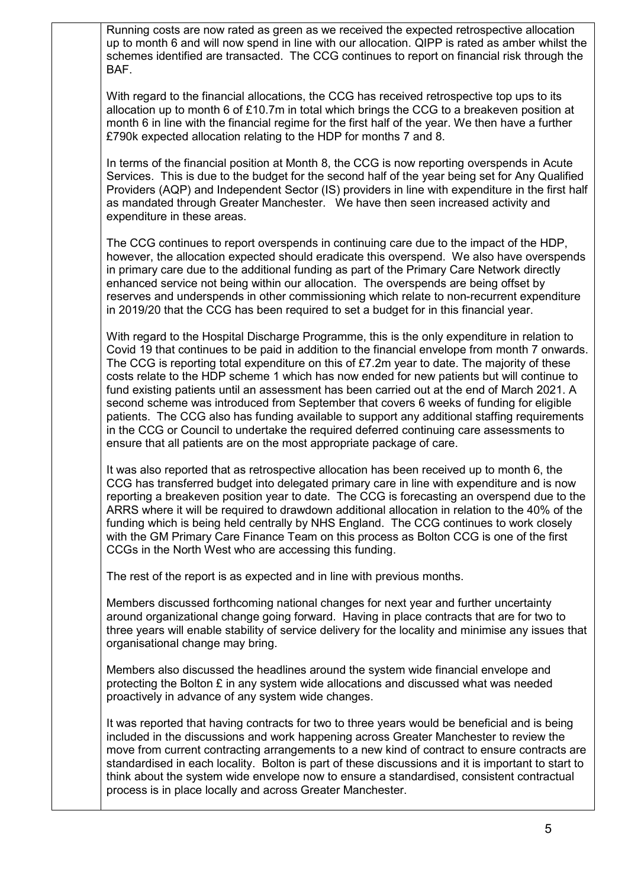Running costs are now rated as green as we received the expected retrospective allocation up to month 6 and will now spend in line with our allocation. QIPP is rated as amber whilst the schemes identified are transacted. The CCG continues to report on financial risk through the BAF.

With regard to the financial allocations, the CCG has received retrospective top ups to its allocation up to month 6 of £10.7m in total which brings the CCG to a breakeven position at month 6 in line with the financial regime for the first half of the year. We then have a further £790k expected allocation relating to the HDP for months 7 and 8.

In terms of the financial position at Month 8, the CCG is now reporting overspends in Acute Services. This is due to the budget for the second half of the year being set for Any Qualified Providers (AQP) and Independent Sector (IS) providers in line with expenditure in the first half as mandated through Greater Manchester. We have then seen increased activity and expenditure in these areas.

The CCG continues to report overspends in continuing care due to the impact of the HDP, however, the allocation expected should eradicate this overspend. We also have overspends in primary care due to the additional funding as part of the Primary Care Network directly enhanced service not being within our allocation. The overspends are being offset by reserves and underspends in other commissioning which relate to non-recurrent expenditure in 2019/20 that the CCG has been required to set a budget for in this financial year.

With regard to the Hospital Discharge Programme, this is the only expenditure in relation to Covid 19 that continues to be paid in addition to the financial envelope from month 7 onwards. The CCG is reporting total expenditure on this of £7.2m year to date. The majority of these costs relate to the HDP scheme 1 which has now ended for new patients but will continue to fund existing patients until an assessment has been carried out at the end of March 2021. A second scheme was introduced from September that covers 6 weeks of funding for eligible patients. The CCG also has funding available to support any additional staffing requirements in the CCG or Council to undertake the required deferred continuing care assessments to ensure that all patients are on the most appropriate package of care.

It was also reported that as retrospective allocation has been received up to month 6, the CCG has transferred budget into delegated primary care in line with expenditure and is now reporting a breakeven position year to date. The CCG is forecasting an overspend due to the ARRS where it will be required to drawdown additional allocation in relation to the 40% of the funding which is being held centrally by NHS England. The CCG continues to work closely with the GM Primary Care Finance Team on this process as Bolton CCG is one of the first CCGs in the North West who are accessing this funding.

The rest of the report is as expected and in line with previous months.

Members discussed forthcoming national changes for next year and further uncertainty around organizational change going forward. Having in place contracts that are for two to three years will enable stability of service delivery for the locality and minimise any issues that organisational change may bring.

Members also discussed the headlines around the system wide financial envelope and protecting the Bolton £ in any system wide allocations and discussed what was needed proactively in advance of any system wide changes.

It was reported that having contracts for two to three years would be beneficial and is being included in the discussions and work happening across Greater Manchester to review the move from current contracting arrangements to a new kind of contract to ensure contracts are standardised in each locality. Bolton is part of these discussions and it is important to start to think about the system wide envelope now to ensure a standardised, consistent contractual process is in place locally and across Greater Manchester.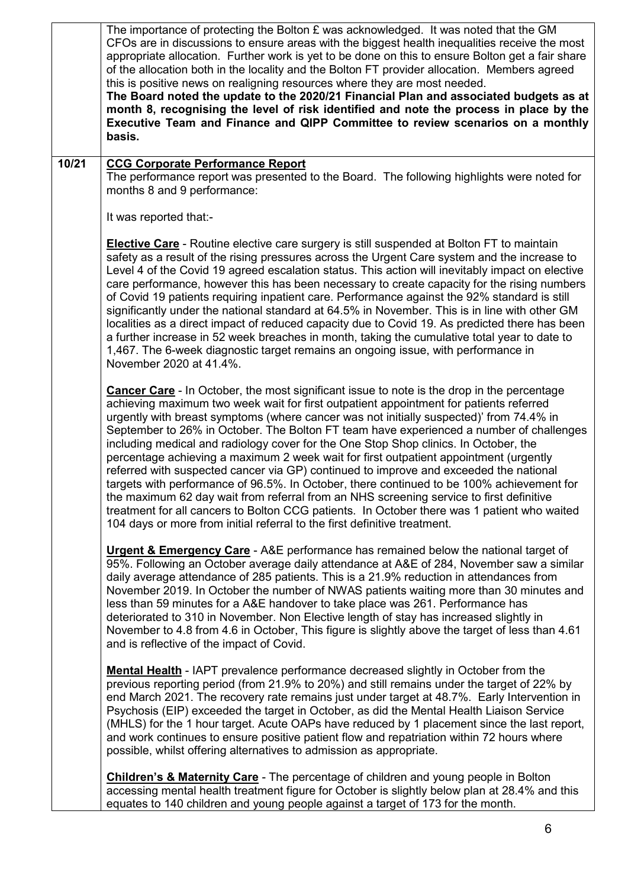|       | The importance of protecting the Bolton $E$ was acknowledged. It was noted that the GM<br>CFOs are in discussions to ensure areas with the biggest health inequalities receive the most<br>appropriate allocation. Further work is yet to be done on this to ensure Bolton get a fair share<br>of the allocation both in the locality and the Bolton FT provider allocation. Members agreed<br>this is positive news on realigning resources where they are most needed.<br>The Board noted the update to the 2020/21 Financial Plan and associated budgets as at<br>month 8, recognising the level of risk identified and note the process in place by the<br>Executive Team and Finance and QIPP Committee to review scenarios on a monthly<br>basis.                                                                                                                                                                                                                                                                         |
|-------|---------------------------------------------------------------------------------------------------------------------------------------------------------------------------------------------------------------------------------------------------------------------------------------------------------------------------------------------------------------------------------------------------------------------------------------------------------------------------------------------------------------------------------------------------------------------------------------------------------------------------------------------------------------------------------------------------------------------------------------------------------------------------------------------------------------------------------------------------------------------------------------------------------------------------------------------------------------------------------------------------------------------------------|
| 10/21 | <b>CCG Corporate Performance Report</b><br>The performance report was presented to the Board. The following highlights were noted for<br>months 8 and 9 performance:                                                                                                                                                                                                                                                                                                                                                                                                                                                                                                                                                                                                                                                                                                                                                                                                                                                            |
|       | It was reported that:-                                                                                                                                                                                                                                                                                                                                                                                                                                                                                                                                                                                                                                                                                                                                                                                                                                                                                                                                                                                                          |
|       | <b>Elective Care</b> - Routine elective care surgery is still suspended at Bolton FT to maintain<br>safety as a result of the rising pressures across the Urgent Care system and the increase to<br>Level 4 of the Covid 19 agreed escalation status. This action will inevitably impact on elective<br>care performance, however this has been necessary to create capacity for the rising numbers<br>of Covid 19 patients requiring inpatient care. Performance against the 92% standard is still<br>significantly under the national standard at 64.5% in November. This is in line with other GM<br>localities as a direct impact of reduced capacity due to Covid 19. As predicted there has been<br>a further increase in 52 week breaches in month, taking the cumulative total year to date to<br>1,467. The 6-week diagnostic target remains an ongoing issue, with performance in<br>November 2020 at 41.4%.                                                                                                          |
|       | <b>Cancer Care</b> - In October, the most significant issue to note is the drop in the percentage<br>achieving maximum two week wait for first outpatient appointment for patients referred<br>urgently with breast symptoms (where cancer was not initially suspected)' from 74.4% in<br>September to 26% in October. The Bolton FT team have experienced a number of challenges<br>including medical and radiology cover for the One Stop Shop clinics. In October, the<br>percentage achieving a maximum 2 week wait for first outpatient appointment (urgently<br>referred with suspected cancer via GP) continued to improve and exceeded the national<br>targets with performance of 96.5%. In October, there continued to be 100% achievement for<br>the maximum 62 day wait from referral from an NHS screening service to first definitive<br>treatment for all cancers to Bolton CCG patients. In October there was 1 patient who waited<br>104 days or more from initial referral to the first definitive treatment. |
|       | <b>Urgent &amp; Emergency Care</b> - A&E performance has remained below the national target of<br>95%. Following an October average daily attendance at A&E of 284, November saw a similar<br>daily average attendance of 285 patients. This is a 21.9% reduction in attendances from<br>November 2019. In October the number of NWAS patients waiting more than 30 minutes and<br>less than 59 minutes for a A&E handover to take place was 261. Performance has<br>deteriorated to 310 in November. Non Elective length of stay has increased slightly in<br>November to 4.8 from 4.6 in October, This figure is slightly above the target of less than 4.61<br>and is reflective of the impact of Covid.                                                                                                                                                                                                                                                                                                                     |
|       | <b>Mental Health</b> - IAPT prevalence performance decreased slightly in October from the<br>previous reporting period (from 21.9% to 20%) and still remains under the target of 22% by<br>end March 2021. The recovery rate remains just under target at 48.7%. Early Intervention in<br>Psychosis (EIP) exceeded the target in October, as did the Mental Health Liaison Service<br>(MHLS) for the 1 hour target. Acute OAPs have reduced by 1 placement since the last report,<br>and work continues to ensure positive patient flow and repatriation within 72 hours where<br>possible, whilst offering alternatives to admission as appropriate.                                                                                                                                                                                                                                                                                                                                                                           |
|       | <b>Children's &amp; Maternity Care</b> - The percentage of children and young people in Bolton<br>accessing mental health treatment figure for October is slightly below plan at 28.4% and this<br>equates to 140 children and young people against a target of 173 for the month.                                                                                                                                                                                                                                                                                                                                                                                                                                                                                                                                                                                                                                                                                                                                              |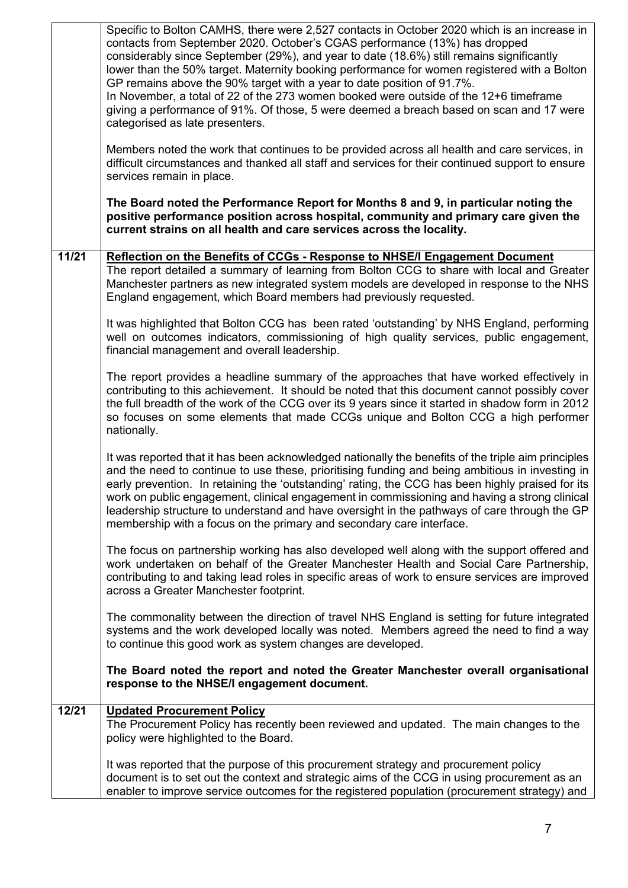|       | Specific to Bolton CAMHS, there were 2,527 contacts in October 2020 which is an increase in<br>contacts from September 2020. October's CGAS performance (13%) has dropped<br>considerably since September (29%), and year to date (18.6%) still remains significantly<br>lower than the 50% target. Maternity booking performance for women registered with a Bolton<br>GP remains above the 90% target with a year to date position of 91.7%.<br>In November, a total of 22 of the 273 women booked were outside of the 12+6 timeframe<br>giving a performance of 91%. Of those, 5 were deemed a breach based on scan and 17 were<br>categorised as late presenters. |
|-------|-----------------------------------------------------------------------------------------------------------------------------------------------------------------------------------------------------------------------------------------------------------------------------------------------------------------------------------------------------------------------------------------------------------------------------------------------------------------------------------------------------------------------------------------------------------------------------------------------------------------------------------------------------------------------|
|       | Members noted the work that continues to be provided across all health and care services, in<br>difficult circumstances and thanked all staff and services for their continued support to ensure<br>services remain in place.                                                                                                                                                                                                                                                                                                                                                                                                                                         |
|       | The Board noted the Performance Report for Months 8 and 9, in particular noting the<br>positive performance position across hospital, community and primary care given the<br>current strains on all health and care services across the locality.                                                                                                                                                                                                                                                                                                                                                                                                                    |
| 11/21 | Reflection on the Benefits of CCGs - Response to NHSE/I Engagement Document<br>The report detailed a summary of learning from Bolton CCG to share with local and Greater<br>Manchester partners as new integrated system models are developed in response to the NHS<br>England engagement, which Board members had previously requested.                                                                                                                                                                                                                                                                                                                             |
|       | It was highlighted that Bolton CCG has been rated 'outstanding' by NHS England, performing<br>well on outcomes indicators, commissioning of high quality services, public engagement,<br>financial management and overall leadership.                                                                                                                                                                                                                                                                                                                                                                                                                                 |
|       | The report provides a headline summary of the approaches that have worked effectively in<br>contributing to this achievement. It should be noted that this document cannot possibly cover<br>the full breadth of the work of the CCG over its 9 years since it started in shadow form in 2012<br>so focuses on some elements that made CCGs unique and Bolton CCG a high performer<br>nationally.                                                                                                                                                                                                                                                                     |
|       | It was reported that it has been acknowledged nationally the benefits of the triple aim principles<br>and the need to continue to use these, prioritising funding and being ambitious in investing in<br>early prevention. In retaining the 'outstanding' rating, the CCG has been highly praised for its<br>work on public engagement, clinical engagement in commissioning and having a strong clinical<br>leadership structure to understand and have oversight in the pathways of care through the GP<br>membership with a focus on the primary and secondary care interface.                                                                                     |
|       | The focus on partnership working has also developed well along with the support offered and<br>work undertaken on behalf of the Greater Manchester Health and Social Care Partnership,<br>contributing to and taking lead roles in specific areas of work to ensure services are improved<br>across a Greater Manchester footprint.                                                                                                                                                                                                                                                                                                                                   |
|       | The commonality between the direction of travel NHS England is setting for future integrated<br>systems and the work developed locally was noted. Members agreed the need to find a way<br>to continue this good work as system changes are developed.                                                                                                                                                                                                                                                                                                                                                                                                                |
|       | The Board noted the report and noted the Greater Manchester overall organisational<br>response to the NHSE/I engagement document.                                                                                                                                                                                                                                                                                                                                                                                                                                                                                                                                     |
| 12/21 | <b>Updated Procurement Policy</b><br>The Procurement Policy has recently been reviewed and updated. The main changes to the<br>policy were highlighted to the Board.                                                                                                                                                                                                                                                                                                                                                                                                                                                                                                  |
|       | It was reported that the purpose of this procurement strategy and procurement policy<br>document is to set out the context and strategic aims of the CCG in using procurement as an<br>enabler to improve service outcomes for the registered population (procurement strategy) and                                                                                                                                                                                                                                                                                                                                                                                   |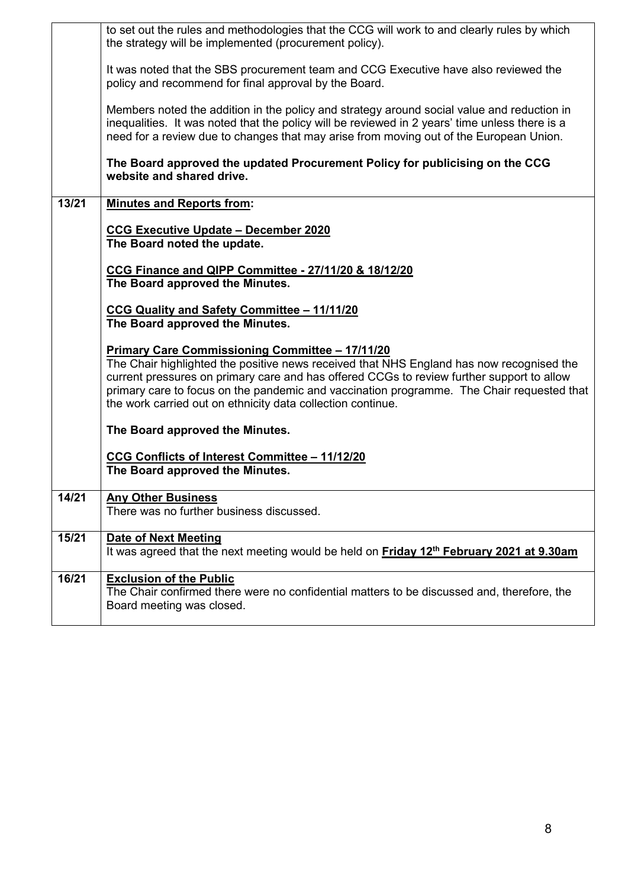|       | to set out the rules and methodologies that the CCG will work to and clearly rules by which                                                                                                                                                                                            |
|-------|----------------------------------------------------------------------------------------------------------------------------------------------------------------------------------------------------------------------------------------------------------------------------------------|
|       | the strategy will be implemented (procurement policy).                                                                                                                                                                                                                                 |
|       | It was noted that the SBS procurement team and CCG Executive have also reviewed the<br>policy and recommend for final approval by the Board.                                                                                                                                           |
|       | Members noted the addition in the policy and strategy around social value and reduction in<br>inequalities. It was noted that the policy will be reviewed in 2 years' time unless there is a<br>need for a review due to changes that may arise from moving out of the European Union. |
|       | The Board approved the updated Procurement Policy for publicising on the CCG<br>website and shared drive.                                                                                                                                                                              |
| 13/21 | <b>Minutes and Reports from:</b>                                                                                                                                                                                                                                                       |
|       | <b>CCG Executive Update - December 2020</b>                                                                                                                                                                                                                                            |
|       | The Board noted the update.                                                                                                                                                                                                                                                            |
|       | CCG Finance and QIPP Committee - 27/11/20 & 18/12/20                                                                                                                                                                                                                                   |
|       | The Board approved the Minutes.                                                                                                                                                                                                                                                        |
|       | CCG Quality and Safety Committee - 11/11/20                                                                                                                                                                                                                                            |
|       | The Board approved the Minutes.                                                                                                                                                                                                                                                        |
|       | <b>Primary Care Commissioning Committee - 17/11/20</b>                                                                                                                                                                                                                                 |
|       | The Chair highlighted the positive news received that NHS England has now recognised the<br>current pressures on primary care and has offered CCGs to review further support to allow                                                                                                  |
|       | primary care to focus on the pandemic and vaccination programme. The Chair requested that<br>the work carried out on ethnicity data collection continue.                                                                                                                               |
|       | The Board approved the Minutes.                                                                                                                                                                                                                                                        |
|       | CCG Conflicts of Interest Committee - 11/12/20                                                                                                                                                                                                                                         |
|       | The Board approved the Minutes.                                                                                                                                                                                                                                                        |
| 14/21 | <b>Any Other Business</b>                                                                                                                                                                                                                                                              |
|       | There was no further business discussed.                                                                                                                                                                                                                                               |
| 15/21 | <b>Date of Next Meeting</b>                                                                                                                                                                                                                                                            |
|       | It was agreed that the next meeting would be held on Friday 12 <sup>th</sup> February 2021 at 9.30am                                                                                                                                                                                   |
| 16/21 | <b>Exclusion of the Public</b>                                                                                                                                                                                                                                                         |
|       | The Chair confirmed there were no confidential matters to be discussed and, therefore, the<br>Board meeting was closed.                                                                                                                                                                |
|       |                                                                                                                                                                                                                                                                                        |